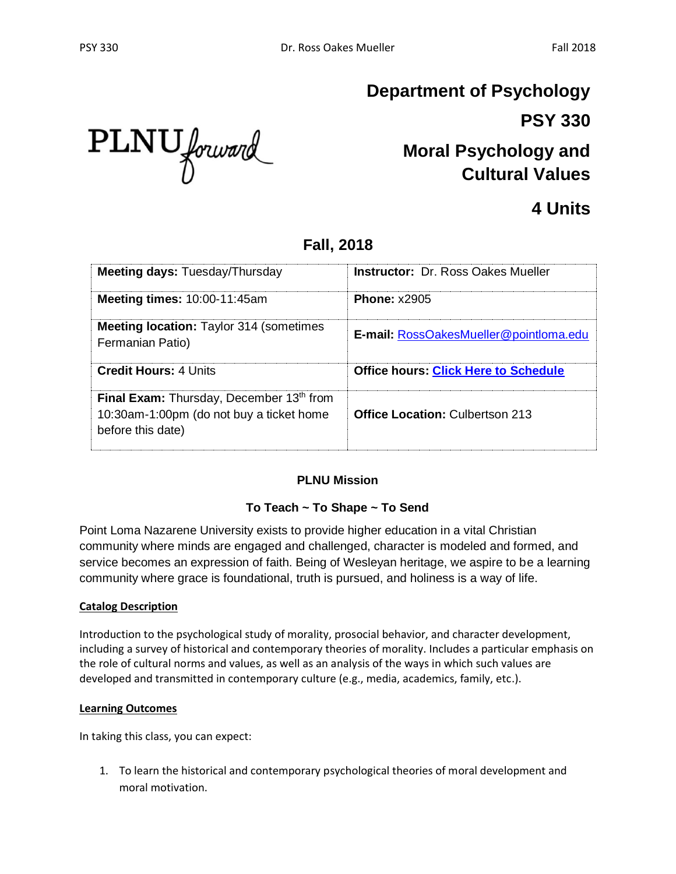PLNU forward

# **Department of Psychology PSY 330**

# **Moral Psychology and Cultural Values**

## **4 Units**

## **Fall, 2018**

| <b>Meeting days: Tuesday/Thursday</b>                                                                     | <b>Instructor: Dr. Ross Oakes Mueller</b>     |
|-----------------------------------------------------------------------------------------------------------|-----------------------------------------------|
| <b>Meeting times: 10:00-11:45am</b>                                                                       | <b>Phone: x2905</b>                           |
| <b>Meeting location:</b> Taylor 314 (sometimes)<br>Fermanian Patio)                                       | <b>E-mail: RossOakesMueller@pointloma.edu</b> |
| <b>Credit Hours: 4 Units</b>                                                                              | <b>Office hours: Click Here to Schedule</b>   |
| Final Exam: Thursday, December 13th from<br>10:30am-1:00pm (do not buy a ticket home<br>before this date) | <b>Office Location: Culbertson 213</b>        |

### **PLNU Mission**

### **To Teach ~ To Shape ~ To Send**

Point Loma Nazarene University exists to provide higher education in a vital Christian community where minds are engaged and challenged, character is modeled and formed, and service becomes an expression of faith. Being of Wesleyan heritage, we aspire to be a learning community where grace is foundational, truth is pursued, and holiness is a way of life.

#### **Catalog Description**

Introduction to the psychological study of morality, prosocial behavior, and character development, including a survey of historical and contemporary theories of morality. Includes a particular emphasis on the role of cultural norms and values, as well as an analysis of the ways in which such values are developed and transmitted in contemporary culture (e.g., media, academics, family, etc.).

#### **Learning Outcomes**

In taking this class, you can expect:

1. To learn the historical and contemporary psychological theories of moral development and moral motivation.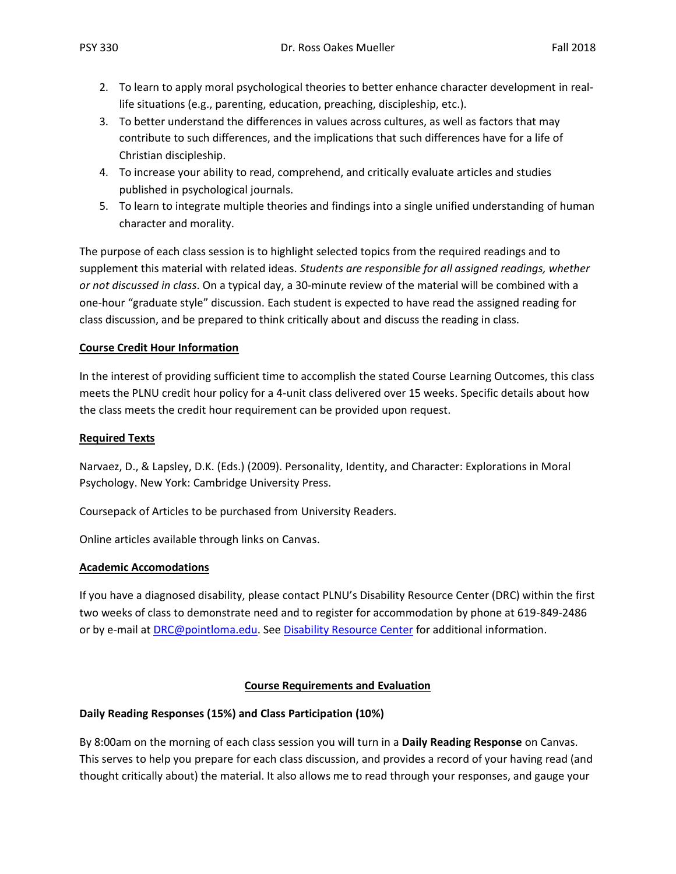- 2. To learn to apply moral psychological theories to better enhance character development in reallife situations (e.g., parenting, education, preaching, discipleship, etc.).
- 3. To better understand the differences in values across cultures, as well as factors that may contribute to such differences, and the implications that such differences have for a life of Christian discipleship.
- 4. To increase your ability to read, comprehend, and critically evaluate articles and studies published in psychological journals.
- 5. To learn to integrate multiple theories and findings into a single unified understanding of human character and morality.

The purpose of each class session is to highlight selected topics from the required readings and to supplement this material with related ideas. *Students are responsible for all assigned readings, whether or not discussed in class*. On a typical day, a 30-minute review of the material will be combined with a one-hour "graduate style" discussion. Each student is expected to have read the assigned reading for class discussion, and be prepared to think critically about and discuss the reading in class.

#### **Course Credit Hour Information**

In the interest of providing sufficient time to accomplish the stated Course Learning Outcomes, this class meets the PLNU credit hour policy for a 4-unit class delivered over 15 weeks. Specific details about how the class meets the credit hour requirement can be provided upon request.

#### **Required Texts**

Narvaez, D., & Lapsley, D.K. (Eds.) (2009). Personality, Identity, and Character: Explorations in Moral Psychology. New York: Cambridge University Press.

Coursepack of Articles to be purchased from University Readers.

Online articles available through links on Canvas.

#### **Academic Accomodations**

If you have a diagnosed disability, please contact PLNU's Disability Resource Center (DRC) within the first two weeks of class to demonstrate need and to register for accommodation by phone at 619-849-2486 or by e-mail at **DRC@pointloma.edu.** See [Disability Resource Center](http://www.pointloma.edu/experience/offices/administrative-offices/academic-advising-office/disability-resource-center) for additional information.

#### **Course Requirements and Evaluation**

#### **Daily Reading Responses (15%) and Class Participation (10%)**

By 8:00am on the morning of each class session you will turn in a **Daily Reading Response** on Canvas. This serves to help you prepare for each class discussion, and provides a record of your having read (and thought critically about) the material. It also allows me to read through your responses, and gauge your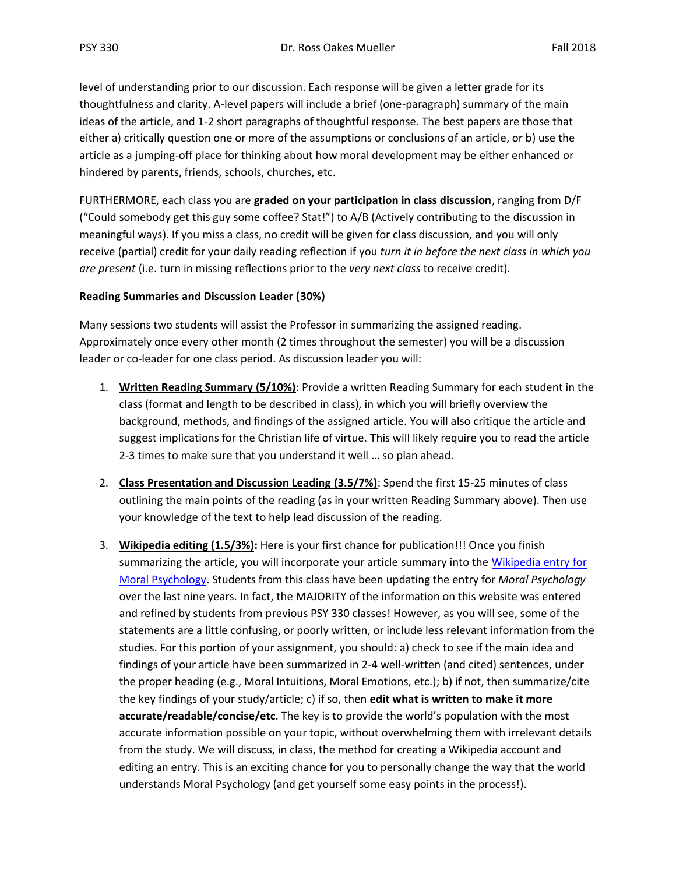level of understanding prior to our discussion. Each response will be given a letter grade for its thoughtfulness and clarity. A-level papers will include a brief (one-paragraph) summary of the main ideas of the article, and 1-2 short paragraphs of thoughtful response. The best papers are those that either a) critically question one or more of the assumptions or conclusions of an article, or b) use the article as a jumping-off place for thinking about how moral development may be either enhanced or hindered by parents, friends, schools, churches, etc.

FURTHERMORE, each class you are **graded on your participation in class discussion**, ranging from D/F ("Could somebody get this guy some coffee? Stat!") to A/B (Actively contributing to the discussion in meaningful ways). If you miss a class, no credit will be given for class discussion, and you will only receive (partial) credit for your daily reading reflection if you *turn it in before the next class in which you are present* (i.e. turn in missing reflections prior to the *very next class* to receive credit).

#### **Reading Summaries and Discussion Leader (30%)**

Many sessions two students will assist the Professor in summarizing the assigned reading. Approximately once every other month (2 times throughout the semester) you will be a discussion leader or co-leader for one class period. As discussion leader you will:

- 1. **Written Reading Summary (5/10%)**: Provide a written Reading Summary for each student in the class (format and length to be described in class), in which you will briefly overview the background, methods, and findings of the assigned article. You will also critique the article and suggest implications for the Christian life of virtue. This will likely require you to read the article 2-3 times to make sure that you understand it well … so plan ahead.
- 2. **Class Presentation and Discussion Leading (3.5/7%)**: Spend the first 15-25 minutes of class outlining the main points of the reading (as in your written Reading Summary above). Then use your knowledge of the text to help lead discussion of the reading.
- 3. **Wikipedia editing (1.5/3%):** Here is your first chance for publication!!! Once you finish summarizing the article, you will incorporate your article summary into the [Wikipedia entry for](https://en.wikipedia.org/wiki/Moral_psychology)  [Moral Psychology.](https://en.wikipedia.org/wiki/Moral_psychology) Students from this class have been updating the entry for *Moral Psychology* over the last nine years. In fact, the MAJORITY of the information on this website was entered and refined by students from previous PSY 330 classes! However, as you will see, some of the statements are a little confusing, or poorly written, or include less relevant information from the studies. For this portion of your assignment, you should: a) check to see if the main idea and findings of your article have been summarized in 2-4 well-written (and cited) sentences, under the proper heading (e.g., Moral Intuitions, Moral Emotions, etc.); b) if not, then summarize/cite the key findings of your study/article; c) if so, then **edit what is written to make it more accurate/readable/concise/etc**. The key is to provide the world's population with the most accurate information possible on your topic, without overwhelming them with irrelevant details from the study. We will discuss, in class, the method for creating a Wikipedia account and editing an entry. This is an exciting chance for you to personally change the way that the world understands Moral Psychology (and get yourself some easy points in the process!).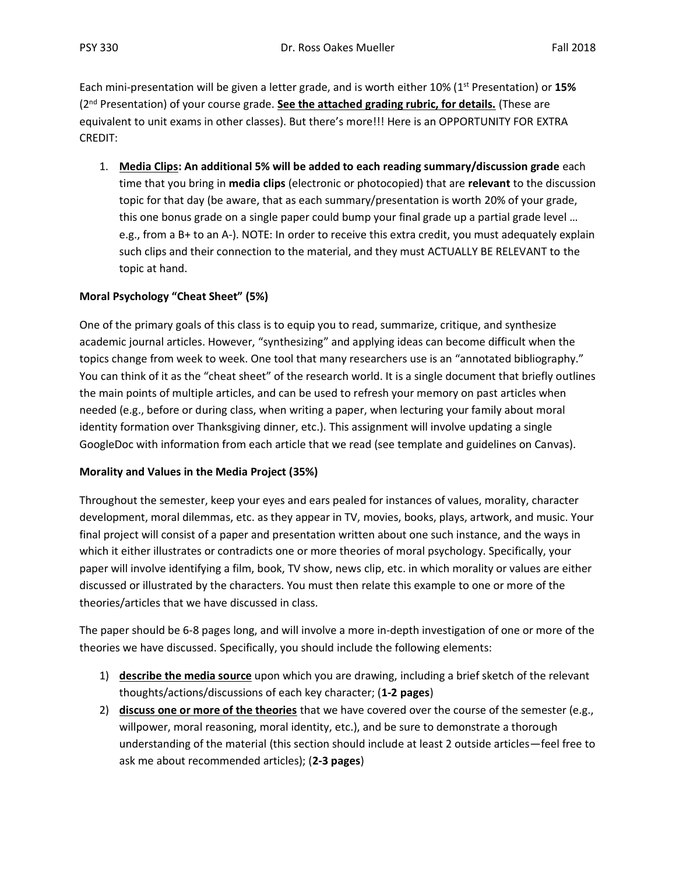Each mini-presentation will be given a letter grade, and is worth either 10% (1st Presentation) or **15%** (2nd Presentation) of your course grade. **See the attached grading rubric, for details.** (These are equivalent to unit exams in other classes). But there's more!!! Here is an OPPORTUNITY FOR EXTRA CREDIT:

1. **Media Clips: An additional 5% will be added to each reading summary/discussion grade** each time that you bring in **media clips** (electronic or photocopied) that are **relevant** to the discussion topic for that day (be aware, that as each summary/presentation is worth 20% of your grade, this one bonus grade on a single paper could bump your final grade up a partial grade level ... e.g., from a B+ to an A-). NOTE: In order to receive this extra credit, you must adequately explain such clips and their connection to the material, and they must ACTUALLY BE RELEVANT to the topic at hand.

#### **Moral Psychology "Cheat Sheet" (5%)**

One of the primary goals of this class is to equip you to read, summarize, critique, and synthesize academic journal articles. However, "synthesizing" and applying ideas can become difficult when the topics change from week to week. One tool that many researchers use is an "annotated bibliography." You can think of it as the "cheat sheet" of the research world. It is a single document that briefly outlines the main points of multiple articles, and can be used to refresh your memory on past articles when needed (e.g., before or during class, when writing a paper, when lecturing your family about moral identity formation over Thanksgiving dinner, etc.). This assignment will involve updating a single GoogleDoc with information from each article that we read (see template and guidelines on Canvas).

#### **Morality and Values in the Media Project (35%)**

Throughout the semester, keep your eyes and ears pealed for instances of values, morality, character development, moral dilemmas, etc. as they appear in TV, movies, books, plays, artwork, and music. Your final project will consist of a paper and presentation written about one such instance, and the ways in which it either illustrates or contradicts one or more theories of moral psychology. Specifically, your paper will involve identifying a film, book, TV show, news clip, etc. in which morality or values are either discussed or illustrated by the characters. You must then relate this example to one or more of the theories/articles that we have discussed in class.

The paper should be 6-8 pages long, and will involve a more in-depth investigation of one or more of the theories we have discussed. Specifically, you should include the following elements:

- 1) **describe the media source** upon which you are drawing, including a brief sketch of the relevant thoughts/actions/discussions of each key character; (**1-2 pages**)
- 2) **discuss one or more of the theories** that we have covered over the course of the semester (e.g., willpower, moral reasoning, moral identity, etc.), and be sure to demonstrate a thorough understanding of the material (this section should include at least 2 outside articles—feel free to ask me about recommended articles); (**2-3 pages**)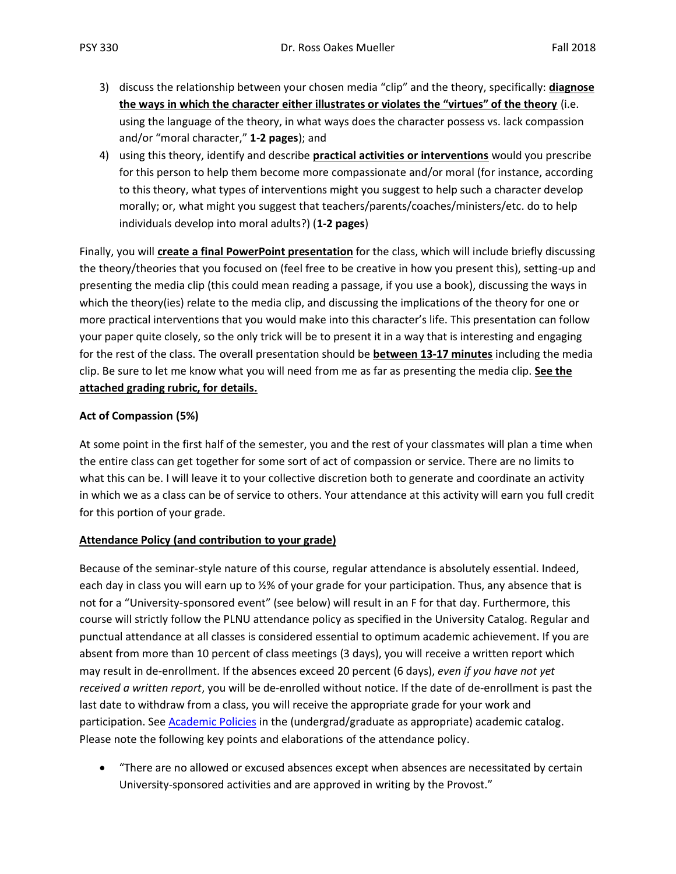- 3) discuss the relationship between your chosen media "clip" and the theory, specifically: **diagnose the ways in which the character either illustrates or violates the "virtues" of the theory** (i.e. using the language of the theory, in what ways does the character possess vs. lack compassion and/or "moral character," **1-2 pages**); and
- 4) using this theory, identify and describe **practical activities or interventions** would you prescribe for this person to help them become more compassionate and/or moral (for instance, according to this theory, what types of interventions might you suggest to help such a character develop morally; or, what might you suggest that teachers/parents/coaches/ministers/etc. do to help individuals develop into moral adults?) (**1-2 pages**)

Finally, you will **create a final PowerPoint presentation** for the class, which will include briefly discussing the theory/theories that you focused on (feel free to be creative in how you present this), setting-up and presenting the media clip (this could mean reading a passage, if you use a book), discussing the ways in which the theory(ies) relate to the media clip, and discussing the implications of the theory for one or more practical interventions that you would make into this character's life. This presentation can follow your paper quite closely, so the only trick will be to present it in a way that is interesting and engaging for the rest of the class. The overall presentation should be **between 13-17 minutes** including the media clip. Be sure to let me know what you will need from me as far as presenting the media clip. **See the attached grading rubric, for details.**

#### **Act of Compassion (5%)**

At some point in the first half of the semester, you and the rest of your classmates will plan a time when the entire class can get together for some sort of act of compassion or service. There are no limits to what this can be. I will leave it to your collective discretion both to generate and coordinate an activity in which we as a class can be of service to others. Your attendance at this activity will earn you full credit for this portion of your grade.

#### **Attendance Policy (and contribution to your grade)**

Because of the seminar-style nature of this course, regular attendance is absolutely essential. Indeed, each day in class you will earn up to ½% of your grade for your participation. Thus, any absence that is not for a "University-sponsored event" (see below) will result in an F for that day. Furthermore, this course will strictly follow the PLNU attendance policy as specified in the University Catalog. Regular and punctual attendance at all classes is considered essential to optimum academic achievement. If you are absent from more than 10 percent of class meetings (3 days), you will receive a written report which may result in de-enrollment. If the absences exceed 20 percent (6 days), *even if you have not yet received a written report*, you will be de-enrolled without notice. If the date of de-enrollment is past the last date to withdraw from a class, you will receive the appropriate grade for your work and participation. See [Academic Policies](http://catalog.pointloma.edu/content.php?catoid=18&navoid=1278) in the (undergrad/graduate as appropriate) academic catalog. Please note the following key points and elaborations of the attendance policy.

• "There are no allowed or excused absences except when absences are necessitated by certain University-sponsored activities and are approved in writing by the Provost."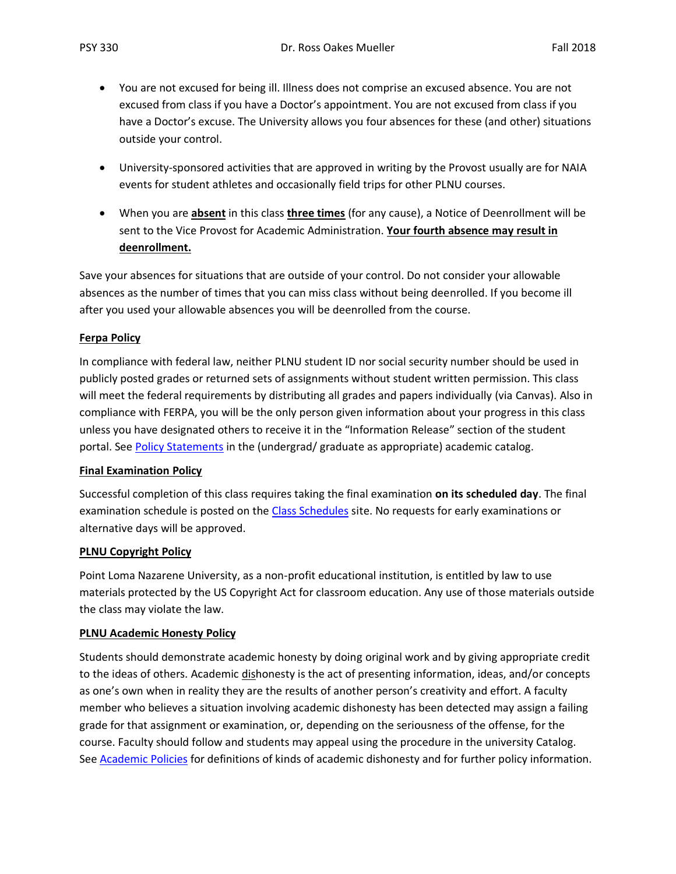- You are not excused for being ill. Illness does not comprise an excused absence. You are not excused from class if you have a Doctor's appointment. You are not excused from class if you have a Doctor's excuse. The University allows you four absences for these (and other) situations outside your control.
- University-sponsored activities that are approved in writing by the Provost usually are for NAIA events for student athletes and occasionally field trips for other PLNU courses.
- When you are **absent** in this class **three times** (for any cause), a Notice of Deenrollment will be sent to the Vice Provost for Academic Administration. **Your fourth absence may result in deenrollment.**

Save your absences for situations that are outside of your control. Do not consider your allowable absences as the number of times that you can miss class without being deenrolled. If you become ill after you used your allowable absences you will be deenrolled from the course.

#### **Ferpa Policy**

In compliance with federal law, neither PLNU student ID nor social security number should be used in publicly posted grades or returned sets of assignments without student written permission. This class will meet the federal requirements by distributing all grades and papers individually (via Canvas). Also in compliance with FERPA, you will be the only person given information about your progress in this class unless you have designated others to receive it in the "Information Release" section of the student portal. See [Policy Statements](http://www.pointloma.edu/experience/academics/catalogs/undergraduate-catalog/policy-statements) in the (undergrad/ graduate as appropriate) academic catalog.

#### **Final Examination Policy**

Successful completion of this class requires taking the final examination **on its scheduled day**. The final examination schedule is posted on the [Class Schedules](http://www.pointloma.edu/experience/academics/class-schedules) site. No requests for early examinations or alternative days will be approved.

#### **PLNU Copyright Policy**

Point Loma Nazarene University, as a non-profit educational institution, is entitled by law to use materials protected by the US Copyright Act for classroom education. Any use of those materials outside the class may violate the law.

#### **PLNU Academic Honesty Policy**

Students should demonstrate academic honesty by doing original work and by giving appropriate credit to the ideas of others. Academic dishonesty is the act of presenting information, ideas, and/or concepts as one's own when in reality they are the results of another person's creativity and effort. A faculty member who believes a situation involving academic dishonesty has been detected may assign a failing grade for that assignment or examination, or, depending on the seriousness of the offense, for the course. Faculty should follow and students may appeal using the procedure in the university Catalog. See [Academic Policies](http://catalog.pointloma.edu/content.php?catoid=18&navoid=1278) for definitions of kinds of academic dishonesty and for further policy information.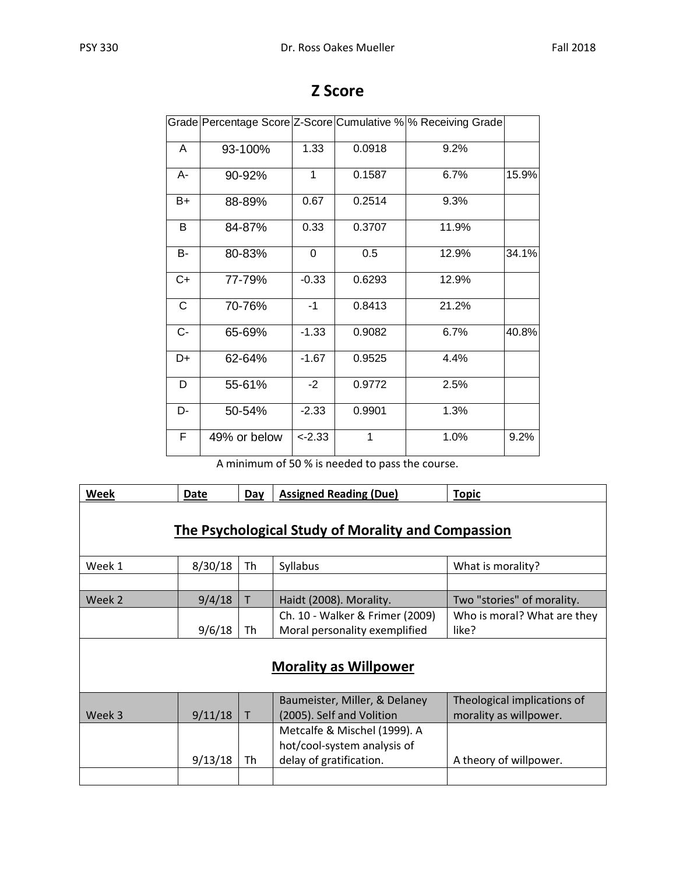|       |              |           |        | Grade Percentage Score Z-Score Cumulative % % Receiving Grade |       |
|-------|--------------|-----------|--------|---------------------------------------------------------------|-------|
| A     | 93-100%      | 1.33      | 0.0918 | 9.2%                                                          |       |
| А-    | 90-92%       | 1         | 0.1587 | 6.7%                                                          | 15.9% |
| B+    | 88-89%       | 0.67      | 0.2514 | 9.3%                                                          |       |
| В     | 84-87%       | 0.33      | 0.3707 | 11.9%                                                         |       |
| B-    | 80-83%       | 0         | 0.5    | 12.9%                                                         | 34.1% |
| $C+$  | 77-79%       | $-0.33$   | 0.6293 | 12.9%                                                         |       |
| C     | 70-76%       | $-1$      | 0.8413 | 21.2%                                                         |       |
| $C -$ | 65-69%       | $-1.33$   | 0.9082 | 6.7%                                                          | 40.8% |
| D+    | 62-64%       | $-1.67$   | 0.9525 | 4.4%                                                          |       |
| D     | 55-61%       | $-2$      | 0.9772 | 2.5%                                                          |       |
| D-    | 50-54%       | $-2.33$   | 0.9901 | 1.3%                                                          |       |
| F     | 49% or below | $< -2.33$ | 1      | 1.0%                                                          | 9.2%  |

## **Z Score**

A minimum of 50 % is needed to pass the course.

| Week                                               | Date    | Day | <b>Assigned Reading (Due)</b>                                                          | <b>Topic</b>                                          |  |  |  |  |  |  |  |
|----------------------------------------------------|---------|-----|----------------------------------------------------------------------------------------|-------------------------------------------------------|--|--|--|--|--|--|--|
| The Psychological Study of Morality and Compassion |         |     |                                                                                        |                                                       |  |  |  |  |  |  |  |
| Week 1                                             | 8/30/18 | Th  | Syllabus                                                                               | What is morality?                                     |  |  |  |  |  |  |  |
|                                                    |         |     |                                                                                        |                                                       |  |  |  |  |  |  |  |
| Week 2                                             | 9/4/18  | T   | Haidt (2008). Morality.                                                                | Two "stories" of morality.                            |  |  |  |  |  |  |  |
|                                                    | 9/6/18  | Th  | Ch. 10 - Walker & Frimer (2009)<br>Moral personality exemplified                       | Who is moral? What are they<br>like?                  |  |  |  |  |  |  |  |
|                                                    |         |     | <b>Morality as Willpower</b>                                                           |                                                       |  |  |  |  |  |  |  |
| Week 3                                             | 9/11/18 | T   | Baumeister, Miller, & Delaney<br>(2005). Self and Volition                             | Theological implications of<br>morality as willpower. |  |  |  |  |  |  |  |
|                                                    | 9/13/18 | Th  | Metcalfe & Mischel (1999). A<br>hot/cool-system analysis of<br>delay of gratification. | A theory of willpower.                                |  |  |  |  |  |  |  |
|                                                    |         |     |                                                                                        |                                                       |  |  |  |  |  |  |  |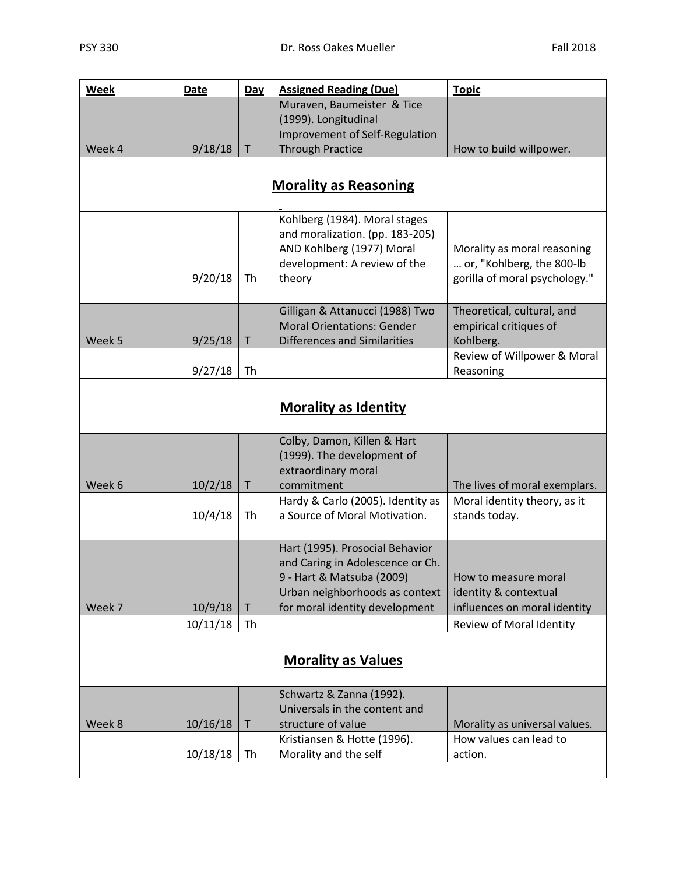| Week   | <b>Date</b> | Day          | <b>Assigned Reading (Due)</b>                                        | <b>Topic</b>                                                  |
|--------|-------------|--------------|----------------------------------------------------------------------|---------------------------------------------------------------|
|        |             |              | Muraven, Baumeister & Tice                                           |                                                               |
|        |             |              | (1999). Longitudinal                                                 |                                                               |
|        |             |              | Improvement of Self-Regulation                                       |                                                               |
| Week 4 | 9/18/18     | T            | <b>Through Practice</b>                                              | How to build willpower.                                       |
|        |             |              |                                                                      |                                                               |
|        |             |              | <b>Morality as Reasoning</b>                                         |                                                               |
|        |             |              | Kohlberg (1984). Moral stages                                        |                                                               |
|        |             |              | and moralization. (pp. 183-205)                                      |                                                               |
|        |             |              | AND Kohlberg (1977) Moral                                            | Morality as moral reasoning                                   |
|        |             |              | development: A review of the                                         | or, "Kohlberg, the 800-lb                                     |
|        | 9/20/18     | Th           | theory                                                               | gorilla of moral psychology."                                 |
|        |             |              |                                                                      |                                                               |
|        |             |              | Gilligan & Attanucci (1988) Two<br><b>Moral Orientations: Gender</b> | Theoretical, cultural, and<br>empirical critiques of          |
| Week 5 | 9/25/18     | T            | <b>Differences and Similarities</b>                                  | Kohlberg.                                                     |
|        |             |              |                                                                      | Review of Willpower & Moral                                   |
|        | 9/27/18     | Th           |                                                                      | Reasoning                                                     |
|        |             |              |                                                                      |                                                               |
|        |             |              | <b>Morality as Identity</b>                                          |                                                               |
|        |             |              |                                                                      |                                                               |
|        |             |              | Colby, Damon, Killen & Hart                                          |                                                               |
|        |             |              | (1999). The development of                                           |                                                               |
|        |             |              | extraordinary moral<br>commitment                                    |                                                               |
| Week 6 | 10/2/18     | T            | Hardy & Carlo (2005). Identity as                                    | The lives of moral exemplars.<br>Moral identity theory, as it |
|        | 10/4/18     | Th           | a Source of Moral Motivation.                                        | stands today.                                                 |
|        |             |              |                                                                      |                                                               |
|        |             |              | Hart (1995). Prosocial Behavior                                      |                                                               |
|        |             |              | and Caring in Adolescence or Ch.                                     |                                                               |
|        |             |              | 9 - Hart & Matsuba (2009)                                            | How to measure moral                                          |
|        |             |              | Urban neighborhoods as context                                       | identity & contextual                                         |
| Week 7 | 10/9/18     | $\mathsf{T}$ | for moral identity development                                       | influences on moral identity                                  |
|        | 10/11/18    | Th           |                                                                      | Review of Moral Identity                                      |
|        |             |              |                                                                      |                                                               |
|        |             |              | <b>Morality as Values</b>                                            |                                                               |
|        |             |              | Schwartz & Zanna (1992).                                             |                                                               |
|        |             |              | Universals in the content and                                        |                                                               |
| Week 8 | 10/16/18    | $\sf T$      | structure of value                                                   | Morality as universal values.                                 |
|        |             |              | Kristiansen & Hotte (1996).                                          | How values can lead to                                        |
|        | 10/18/18    | Th           | Morality and the self                                                | action.                                                       |
|        |             |              |                                                                      |                                                               |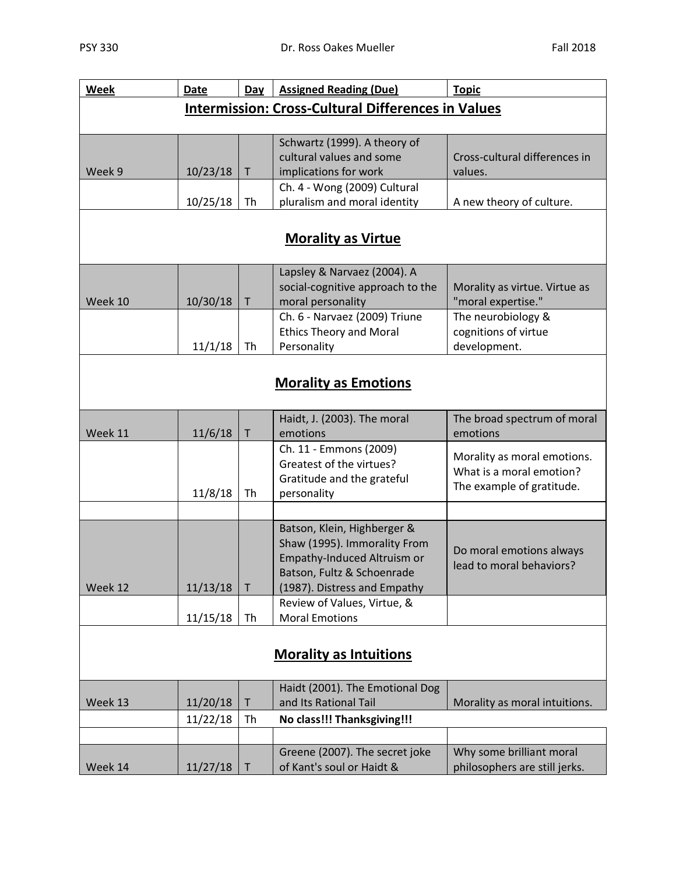| Week    | <b>Date</b> | Day          | <b>Assigned Reading (Due)</b>                             | <b>Topic</b>                                            |
|---------|-------------|--------------|-----------------------------------------------------------|---------------------------------------------------------|
|         |             |              | <b>Intermission: Cross-Cultural Differences in Values</b> |                                                         |
|         |             |              |                                                           |                                                         |
|         |             |              | Schwartz (1999). A theory of                              |                                                         |
|         |             |              | cultural values and some                                  | Cross-cultural differences in                           |
| Week 9  | 10/23/18    | T            | implications for work                                     | values.                                                 |
|         |             |              | Ch. 4 - Wong (2009) Cultural                              |                                                         |
|         | 10/25/18    | Th           | pluralism and moral identity                              | A new theory of culture.                                |
|         |             |              |                                                           |                                                         |
|         |             |              | <b>Morality as Virtue</b>                                 |                                                         |
|         |             |              | Lapsley & Narvaez (2004). A                               |                                                         |
|         |             |              | social-cognitive approach to the                          | Morality as virtue. Virtue as                           |
| Week 10 | 10/30/18    | $\mathsf T$  | moral personality                                         | "moral expertise."                                      |
|         |             |              | Ch. 6 - Narvaez (2009) Triune                             | The neurobiology &                                      |
|         |             |              | <b>Ethics Theory and Moral</b>                            | cognitions of virtue                                    |
|         | 11/1/18     | Th           | Personality                                               | development.                                            |
|         |             |              |                                                           |                                                         |
|         |             |              | <b>Morality as Emotions</b>                               |                                                         |
|         |             |              |                                                           |                                                         |
|         |             |              | Haidt, J. (2003). The moral                               | The broad spectrum of moral                             |
| Week 11 | 11/6/18     | $\sf T$      | emotions                                                  | emotions                                                |
|         |             |              | Ch. 11 - Emmons (2009)                                    |                                                         |
|         |             |              | Greatest of the virtues?                                  | Morality as moral emotions.<br>What is a moral emotion? |
|         |             |              | Gratitude and the grateful                                | The example of gratitude.                               |
|         | 11/8/18     | Th           | personality                                               |                                                         |
|         |             |              |                                                           |                                                         |
|         |             |              | Batson, Klein, Highberger &                               |                                                         |
|         |             |              | Shaw (1995). Immorality From                              | Do moral emotions always                                |
|         |             |              | Empathy-Induced Altruism or                               | lead to moral behaviors?                                |
|         |             |              | Batson, Fultz & Schoenrade                                |                                                         |
| Week 12 | 11/13/18    | $\mathsf{T}$ | (1987). Distress and Empathy                              |                                                         |
|         |             |              | Review of Values, Virtue, &                               |                                                         |
|         | 11/15/18    | Th           | <b>Moral Emotions</b>                                     |                                                         |
|         |             |              |                                                           |                                                         |
|         |             |              | <b>Morality as Intuitions</b>                             |                                                         |
|         |             |              |                                                           |                                                         |
|         |             |              | Haidt (2001). The Emotional Dog                           |                                                         |
| Week 13 | 11/20/18    | T            | and Its Rational Tail                                     | Morality as moral intuitions.                           |
|         | 11/22/18    | Th           | No class!!! Thanksgiving!!!                               |                                                         |
|         |             |              |                                                           |                                                         |
|         |             |              | Greene (2007). The secret joke                            | Why some brilliant moral                                |
| Week 14 | 11/27/18    | Τ            | of Kant's soul or Haidt &                                 | philosophers are still jerks.                           |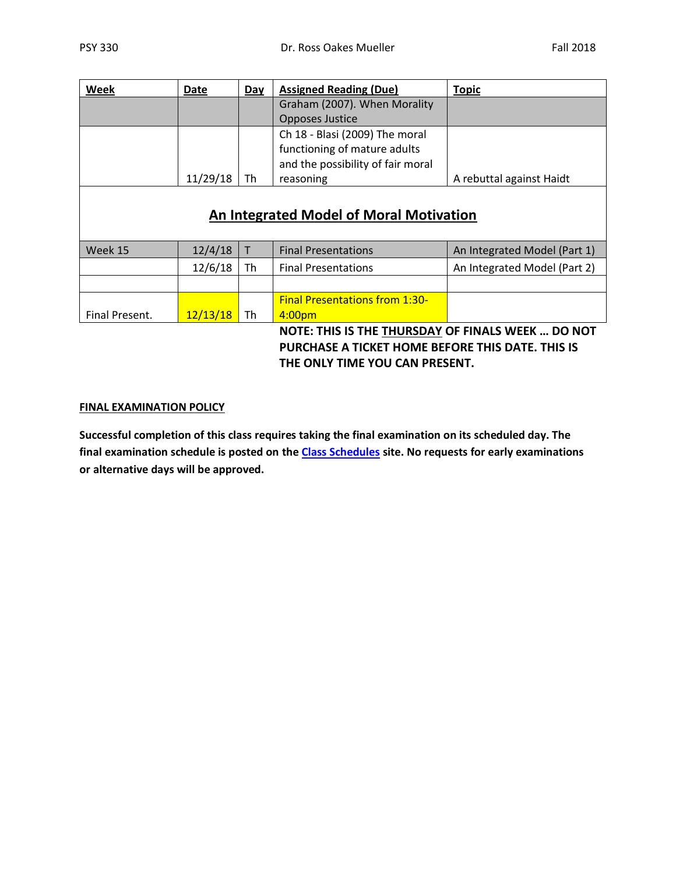| Week | Date     | Day | <b>Assigned Reading (Due)</b>     | <b>Topic</b>             |
|------|----------|-----|-----------------------------------|--------------------------|
|      |          |     | Graham (2007). When Morality      |                          |
|      |          |     | Opposes Justice                   |                          |
|      |          |     | Ch 18 - Blasi (2009) The moral    |                          |
|      |          |     | functioning of mature adults      |                          |
|      |          |     | and the possibility of fair moral |                          |
|      | 11/29/18 | Th  | reasoning                         | A rebuttal against Haidt |
|      |          |     |                                   |                          |
|      |          |     |                                   |                          |

## **An Integrated Model of Moral Motivation**

| Week 15        | 12/4/18  |    | <b>Final Presentations</b>            | An Integrated Model (Part 1) |
|----------------|----------|----|---------------------------------------|------------------------------|
|                | 12/6/18  | Th | <b>Final Presentations</b>            | An Integrated Model (Part 2) |
|                |          |    |                                       |                              |
|                |          |    | <b>Final Presentations from 1:30-</b> |                              |
| Final Present. | 12/13/18 | Th | 4:00 <sub>pm</sub>                    |                              |

**NOTE: THIS IS THE THURSDAY OF FINALS WEEK … DO NOT PURCHASE A TICKET HOME BEFORE THIS DATE. THIS IS THE ONLY TIME YOU CAN PRESENT.**

#### **FINAL EXAMINATION POLICY**

**Successful completion of this class requires taking the final examination on its scheduled day. The final examination schedule is posted on the [Class Schedules](http://www.pointloma.edu/experience/academics/class-schedules) site. No requests for early examinations or alternative days will be approved.**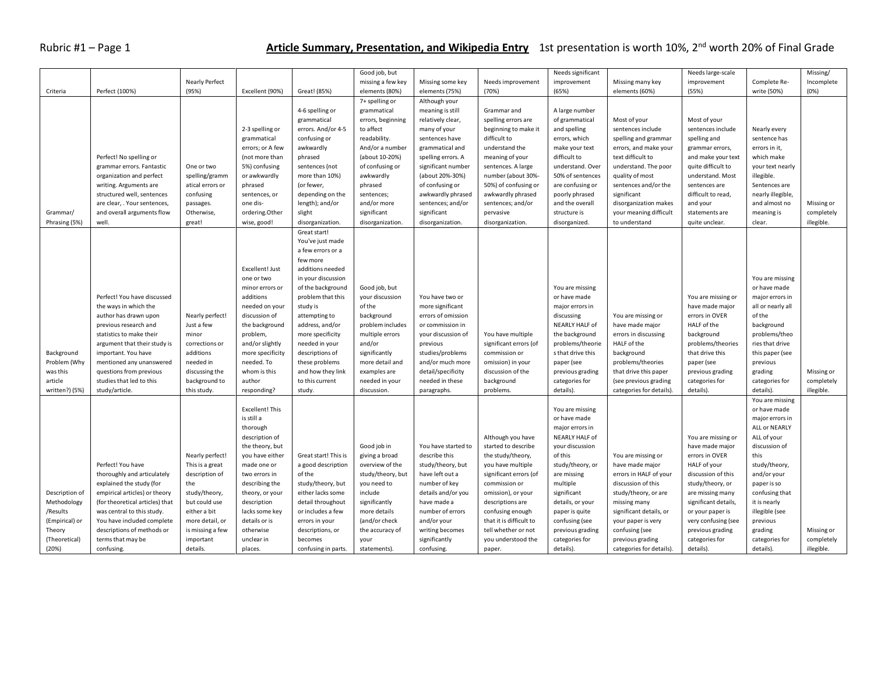## Rubric #1 – Page 1 **Article Summary, Presentation, and Wikipedia Entry** 1st presentation is worth 10%, 2<sup>nd</sup> worth 20% of Final Grade

|                |                                 |                       |                  |                      | Good job, but     |                     |                         | Needs significant |                          |                      |                   | Missing/   |
|----------------|---------------------------------|-----------------------|------------------|----------------------|-------------------|---------------------|-------------------------|-------------------|--------------------------|----------------------|-------------------|------------|
|                |                                 |                       |                  |                      |                   |                     |                         |                   |                          | Needs large-scale    |                   |            |
|                |                                 | <b>Nearly Perfect</b> |                  |                      | missing a few key | Missing some key    | Needs improvement       | improvement       | Missing many key         | improvement          | Complete Re-      | Incomplete |
| Criteria       | Perfect (100%)                  | (95%)                 | Excellent (90%)  | Great! (85%)         | elements (80%)    | elements (75%)      | (70%)                   | (65%)             | elements (60%)           | (55%)                | write (50%)       | (0%)       |
|                |                                 |                       |                  |                      | 7+ spelling or    | Although your       |                         |                   |                          |                      |                   |            |
|                |                                 |                       |                  | 4-6 spelling or      | grammatical       | meaning is still    | Grammar and             | A large number    |                          |                      |                   |            |
|                |                                 |                       |                  | grammatical          | errors, beginning | relatively clear,   | spelling errors are     | of grammatical    | Most of your             | Most of your         |                   |            |
|                |                                 |                       | 2-3 spelling or  | errors. And/or 4-5   | to affect         | many of your        | beginning to make it    | and spelling      | sentences include        | sentences include    | Nearly every      |            |
|                |                                 |                       | grammatical      | confusing or         | readability.      | sentences have      | difficult to            | errors, which     | spelling and grammar     | spelling and         | sentence has      |            |
|                |                                 |                       | errors; or A few | awkwardly            | And/or a number   | grammatical and     | understand the          | make your text    | errors, and make your    | grammar errors,      | errors in it,     |            |
|                | Perfect! No spelling or         |                       | (not more than   | phrased              | (about 10-20%)    | spelling errors. A  | meaning of your         | difficult to      | text difficult to        | and make your text   | which make        |            |
|                | grammar errors. Fantastic       | One or two            | 5%) confusing    | sentences (not       | of confusing or   | significant number  | sentences. A large      | understand. Over  | understand. The poor     | quite difficult to   | your text nearly  |            |
|                | organization and perfect        | spelling/gramm        | or awkwardly     | more than 10%)       | awkwardly         | (about 20%-30%)     | number (about 30%-      | 50% of sentences  | quality of most          | understand. Most     | illegible.        |            |
|                | writing. Arguments are          | atical errors or      | phrased          | (or fewer,           | phrased           | of confusing or     | 50%) of confusing or    | are confusing or  | sentences and/or the     | sentences are        | Sentences are     |            |
|                |                                 |                       |                  |                      |                   | awkwardly phrased   | awkwardly phrased       | poorly phrased    | significant              | difficult to read,   | nearly illegible, |            |
|                | structured well, sentences      | confusing             | sentences, or    | depending on the     | sentences;        |                     |                         |                   |                          |                      |                   |            |
|                | are clear, . Your sentences,    | passages.             | one dis-         | length); and/or      | and/or more       | sentences; and/or   | sentences; and/or       | and the overall   | disorganization makes    | and your             | and almost no     | Missing or |
| Grammar/       | and overall arguments flow      | Otherwise,            | ordering.Other   | slight               | significant       | significant         | pervasive               | structure is      | your meaning difficult   | statements are       | meaning is        | completely |
| Phrasing (5%)  | well.                           | great!                | wise, good!      | disorganization.     | disorganization.  | disorganization.    | disorganization.        | disorganized.     | to understand            | quite unclear.       | clear.            | illegible. |
|                |                                 |                       |                  | Great start!         |                   |                     |                         |                   |                          |                      |                   |            |
|                |                                 |                       |                  | You've just made     |                   |                     |                         |                   |                          |                      |                   |            |
|                |                                 |                       |                  | a few errors or a    |                   |                     |                         |                   |                          |                      |                   |            |
|                |                                 |                       |                  | few more             |                   |                     |                         |                   |                          |                      |                   |            |
|                |                                 |                       | Excellent! Just  | additions needed     |                   |                     |                         |                   |                          |                      |                   |            |
|                |                                 |                       | one or two       | in your discussion   |                   |                     |                         |                   |                          |                      | You are missing   |            |
|                |                                 |                       | minor errors or  | of the background    | Good job, but     |                     |                         | You are missing   |                          |                      | or have made      |            |
|                | Perfect! You have discussed     |                       | additions        | problem that this    | your discussion   | You have two or     |                         | or have made      |                          | You are missing or   | major errors in   |            |
|                | the ways in which the           |                       |                  |                      | of the            | more significant    |                         |                   |                          |                      |                   |            |
|                |                                 |                       | needed on your   | study is             |                   |                     |                         | major errors in   |                          | have made major      | all or nearly all |            |
|                | author has drawn upon           | Nearly perfect!       | discussion of    | attempting to        | background        | errors of omission  |                         | discussing        | You are missing or       | errors in OVER       | of the            |            |
|                | previous research and           | Just a few            | the background   | address, and/or      | problem includes  | or commission in    |                         | NEARLY HALF of    | have made major          | HALF of the          | background        |            |
|                | statistics to make their        | minor                 | problem,         | more specificity     | multiple errors   | your discussion of  | You have multiple       | the background    | errors in discussing     | background           | problems/theo     |            |
|                | argument that their study is    | corrections or        | and/or slightly  | needed in your       | and/or            | previous            | significant errors (of  | problems/theorie  | HALF of the              | problems/theories    | ries that drive   |            |
| Background     | important. You have             | additions             | more specificity | descriptions of      | significantly     | studies/problems    | commission or           | s that drive this | background               | that drive this      | this paper (see   |            |
| Problem (Why   | mentioned any unanswered        | needed in             | needed. To       | these problems       | more detail and   | and/or much more    | omission) in your       | paper (see        | problems/theories        | paper (see           | previous          |            |
| was this       | questions from previous         | discussing the        | whom is this     | and how they link    | examples are      | detail/specificity  | discussion of the       | previous grading  | that drive this paper    | previous grading     | grading           | Missing or |
| article        | studies that led to this        | background to         | author           | to this current      | needed in your    | needed in these     | background              | categories for    | (see previous grading    | categories for       | categories for    | completely |
| written?) (5%) | study/article.                  | this study.           | responding?      | study.               | discussion.       | paragraphs.         | problems.               | details).         | categories for details). | details).            | details).         | illegible. |
|                |                                 |                       |                  |                      |                   |                     |                         |                   |                          |                      | You are missing   |            |
|                |                                 |                       | Excellent! This  |                      |                   |                     |                         | You are missing   |                          |                      | or have made      |            |
|                |                                 |                       | is still a       |                      |                   |                     |                         | or have made      |                          |                      | major errors in   |            |
|                |                                 |                       |                  |                      |                   |                     |                         |                   |                          |                      | ALL or NEARLY     |            |
|                |                                 |                       | thorough         |                      |                   |                     |                         | major errors in   |                          |                      |                   |            |
|                |                                 |                       | description of   |                      |                   |                     | Although you have       | NEARLY HALF of    |                          | You are missing or   | ALL of your       |            |
|                |                                 |                       | the theory, but  |                      | Good job in       | You have started to | started to describe     | your discussion   |                          | have made major      | discussion of     |            |
|                |                                 | Nearly perfect!       | you have either  | Great start! This is | giving a broad    | describe this       | the study/theory,       | of this           | You are missing or       | errors in OVER       | this              |            |
|                | Perfect! You have               | This is a great       | made one or      | a good description   | overview of the   | study/theory, but   | you have multiple       | study/theory, or  | have made major          | HALF of your         | study/theory,     |            |
|                | thoroughly and articulately     | description of        | two errors in    | of the               | study/theory, but | have left out a     | significant errors (of  | are missing       | errors in HALF of your   | discussion of this   | and/or your       |            |
|                | explained the study (for        | the                   | describing the   | study/theory, but    | you need to       | number of key       | commission or           | multiple          | discussion of this       | study/theory, or     | paper is so       |            |
| Description of | empirical articles) or theory   | study/theory,         | theory, or your  | either lacks some    | include           | details and/or you  | omission), or your      | significant       | study/theory, or are     | are missing many     | confusing that    |            |
| Methodology    | (for theoretical articles) that | but could use         | description      | detail throughout    | significantly     | have made a         | descriptions are        | details, or your  | missing many             | significant details, | it is nearly      |            |
| /Results       | was central to this study.      | either a bit          | lacks some key   | or includes a few    | more details      | number of errors    | confusing enough        | paper is quite    | significant details, or  | or your paper is     | illegible (see    |            |
| (Empirical) or | You have included complete      | more detail, or       | details or is    | errors in your       | (and/or check     | and/or your         | that it is difficult to | confusing (see    | your paper is very       | very confusing (see  | previous          |            |
| Theory         | descriptions of methods or      | is missing a few      | otherwise        | descriptions, or     | the accuracy of   | writing becomes     | tell whether or not     | previous grading  | confusing (see           | previous grading     | grading           | Missing or |
| (Theoretical)  | terms that may be               | important             | unclear in       | becomes              | your              | significantly       | you understood the      | categories for    | previous grading         | categories for       | categories for    | completely |
| (20%)          |                                 | details.              | places.          |                      |                   |                     |                         |                   | categories for details). | details).            | details).         |            |
|                | confusing.                      |                       |                  | confusing in parts.  | statements).      | confusing.          | paper.                  | details).         |                          |                      |                   | illegible. |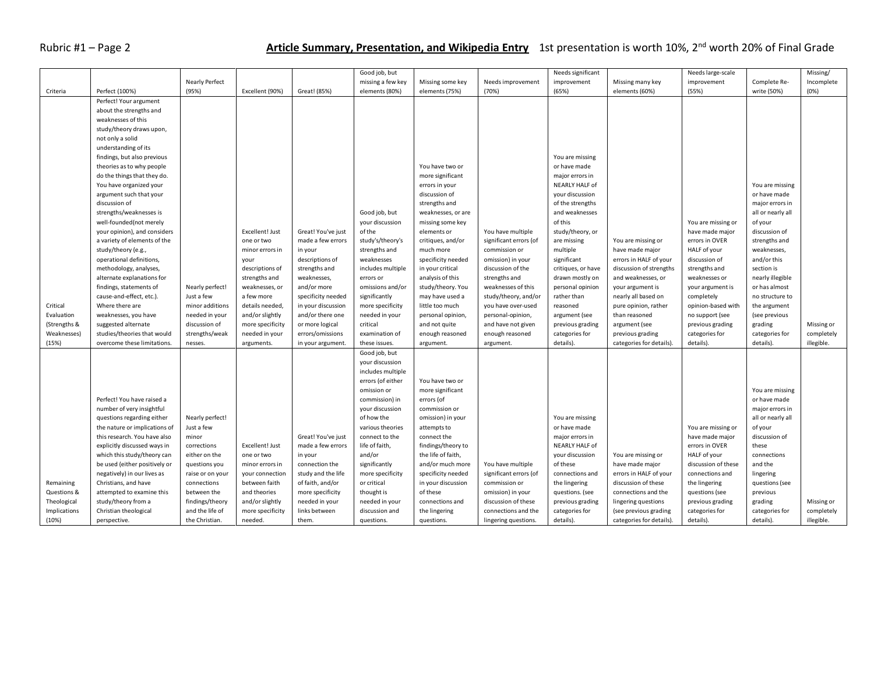## Rubric #1 – Page 2 **Article Summary, Presentation, and Wikipedia Entry** 1st presentation is worth 10%, 2nd worth 20% of Final Grade

|              |                               |                       |                  |                    | Good job, but     |                    |                        | Needs significant               |                          | Needs large-scale   |                   | Missing/   |
|--------------|-------------------------------|-----------------------|------------------|--------------------|-------------------|--------------------|------------------------|---------------------------------|--------------------------|---------------------|-------------------|------------|
|              |                               | <b>Nearly Perfect</b> |                  |                    | missing a few key | Missing some key   | Needs improvement      | improvement                     | Missing many key         | improvement         | Complete Re-      | Incomplete |
| Criteria     | Perfect (100%)                | (95%)                 | Excellent (90%)  | Great! (85%)       | elements (80%)    | elements (75%)     | (70%)                  | (65%)                           | elements (60%)           | (55%)               | write (50%)       | (0%)       |
|              | Perfect! Your argument        |                       |                  |                    |                   |                    |                        |                                 |                          |                     |                   |            |
|              | about the strengths and       |                       |                  |                    |                   |                    |                        |                                 |                          |                     |                   |            |
|              | weaknesses of this            |                       |                  |                    |                   |                    |                        |                                 |                          |                     |                   |            |
|              | study/theory draws upon,      |                       |                  |                    |                   |                    |                        |                                 |                          |                     |                   |            |
|              | not only a solid              |                       |                  |                    |                   |                    |                        |                                 |                          |                     |                   |            |
|              | understanding of its          |                       |                  |                    |                   |                    |                        |                                 |                          |                     |                   |            |
|              |                               |                       |                  |                    |                   |                    |                        |                                 |                          |                     |                   |            |
|              | findings, but also previous   |                       |                  |                    |                   | You have two or    |                        | You are missing<br>or have made |                          |                     |                   |            |
|              | theories as to why people     |                       |                  |                    |                   |                    |                        |                                 |                          |                     |                   |            |
|              | do the things that they do.   |                       |                  |                    |                   | more significant   |                        | major errors in                 |                          |                     |                   |            |
|              | You have organized your       |                       |                  |                    |                   | errors in your     |                        | NEARLY HALF of                  |                          |                     | You are missing   |            |
|              | argument such that your       |                       |                  |                    |                   | discussion of      |                        | your discussion                 |                          |                     | or have made      |            |
|              | discussion of                 |                       |                  |                    |                   | strengths and      |                        | of the strengths                |                          |                     | major errors in   |            |
|              | strengths/weaknesses is       |                       |                  |                    | Good job, but     | weaknesses, or are |                        | and weaknesses                  |                          |                     | all or nearly all |            |
|              | well-founded(not merely       |                       |                  |                    | your discussion   | missing some key   |                        | of this                         |                          | You are missing or  | of your           |            |
|              | your opinion), and considers  |                       | Excellent! Just  | Great! You've just | of the            | elements or        | You have multiple      | study/theory, or                |                          | have made major     | discussion of     |            |
|              | a variety of elements of the  |                       | one or two       | made a few errors  | study's/theory's  | critiques, and/or  | significant errors (of | are missing                     | You are missing or       | errors in OVER      | strengths and     |            |
|              | study/theory (e.g.,           |                       | minor errors in  | in your            | strengths and     | much more          | commission or          | multiple                        | have made major          | HALF of your        | weaknesses,       |            |
|              | operational definitions,      |                       | your             | descriptions of    | weaknesses        | specificity needed | omission) in your      | significant                     | errors in HALF of your   | discussion of       | and/or this       |            |
|              | methodology, analyses,        |                       | descriptions of  | strengths and      | includes multiple | in your critical   | discussion of the      | critiques, or have              | discussion of strengths  | strengths and       | section is        |            |
|              | alternate explanations for    |                       | strengths and    | weaknesses,        | errors or         | analysis of this   | strengths and          | drawn mostly on                 | and weaknesses, or       | weaknesses or       | nearly illegible  |            |
|              | findings, statements of       | Nearly perfect!       | weaknesses, or   | and/or more        | omissions and/or  | study/theory. You  | weaknesses of this     | personal opinion                | your argument is         | your argument is    | or has almost     |            |
|              | cause-and-effect, etc.).      | Just a few            | a few more       | specificity needed | significantly     | may have used a    | study/theory, and/or   | rather than                     | nearly all based on      | completely          | no structure to   |            |
| Critical     | Where there are               | minor additions       | details needed,  | in your discussion | more specificity  | little too much    | you have over-used     | reasoned                        | pure opinion, rather     | opinion-based with  | the argument      |            |
| Evaluation   | weaknesses, you have          | needed in your        | and/or slightly  | and/or there one   | needed in your    | personal opinion,  | personal-opinion,      | argument (see                   | than reasoned            | no support (see     | (see previous     |            |
| (Strengths & | suggested alternate           | discussion of         | more specificity | or more logical    | critical          | and not quite      | and have not given     | previous grading                | argument (see            | previous grading    | grading           | Missing or |
| Weaknesses)  | studies/theories that would   | strengths/weak        | needed in your   | errors/omissions   | examination of    | enough reasoned    | enough reasoned        | categories for                  | previous grading         | categories for      | categories for    | completely |
| (15%)        | overcome these limitations.   | nesses.               | arguments.       | in your argument.  | these issues.     | argument.          | argument.              | details).                       | categories for details). | details).           | details).         | illegible. |
|              |                               |                       |                  |                    | Good job, but     |                    |                        |                                 |                          |                     |                   |            |
|              |                               |                       |                  |                    | your discussion   |                    |                        |                                 |                          |                     |                   |            |
|              |                               |                       |                  |                    | includes multiple |                    |                        |                                 |                          |                     |                   |            |
|              |                               |                       |                  |                    | errors (of either | You have two or    |                        |                                 |                          |                     |                   |            |
|              |                               |                       |                  |                    | omission or       | more significant   |                        |                                 |                          |                     | You are missing   |            |
|              | Perfect! You have raised a    |                       |                  |                    | commission) in    | errors (of         |                        |                                 |                          |                     | or have made      |            |
|              | number of very insightful     |                       |                  |                    | your discussion   | commission or      |                        |                                 |                          |                     | major errors in   |            |
|              | questions regarding either    | Nearly perfect!       |                  |                    | of how the        | omission) in your  |                        | You are missing                 |                          |                     | all or nearly all |            |
|              | the nature or implications of | Just a few            |                  |                    | various theories  | attempts to        |                        | or have made                    |                          | You are missing or  | of your           |            |
|              | this research. You have also  | minor                 |                  | Great! You've just | connect to the    | connect the        |                        | major errors in                 |                          | have made major     | discussion of     |            |
|              | explicitly discussed ways in  | corrections           | Excellent! Just  | made a few errors  | life of faith,    | findings/theory to |                        | NEARLY HALF of                  |                          | errors in OVER      | these             |            |
|              | which this study/theory can   | either on the         | one or two       | in your            | and/or            | the life of faith, |                        | your discussion                 | You are missing or       | HALF of your        | connections       |            |
|              | be used (either positively or | questions you         | minor errors in  | connection the     | significantly     | and/or much more   | You have multiple      | of these                        | have made major          | discussion of these | and the           |            |
|              | negatively) in our lives as   | raise or on your      | your connection  | study and the life | more specificity  | specificity needed | significant errors (of | connections and                 | errors in HALF of your   | connections and     | lingering         |            |
| Remaining    | Christians, and have          | connections           | between faith    | of faith, and/or   | or critical       | in your discussion | commission or          | the lingering                   | discussion of these      | the lingering       | questions (see    |            |
| Questions &  | attempted to examine this     | between the           | and theories     | more specificity   | thought is        | of these           | omission) in your      | questions. (see                 | connections and the      | questions (see      | previous          |            |
| Theological  | study/theory from a           | findings/theory       | and/or slightly  | needed in your     | needed in your    | connections and    | discussion of these    | previous grading                | lingering questions      | previous grading    | grading           | Missing or |
| Implications | Christian theological         | and the life of       | more specificity | links between      | discussion and    | the lingering      | connections and the    | categories for                  | (see previous grading    | categories for      | categories for    | completely |
| (10%)        | perspective.                  | the Christian.        | needed.          | them.              | questions.        | questions.         | lingering questions.   | details).                       | categories for details). | details).           | details).         | illegible. |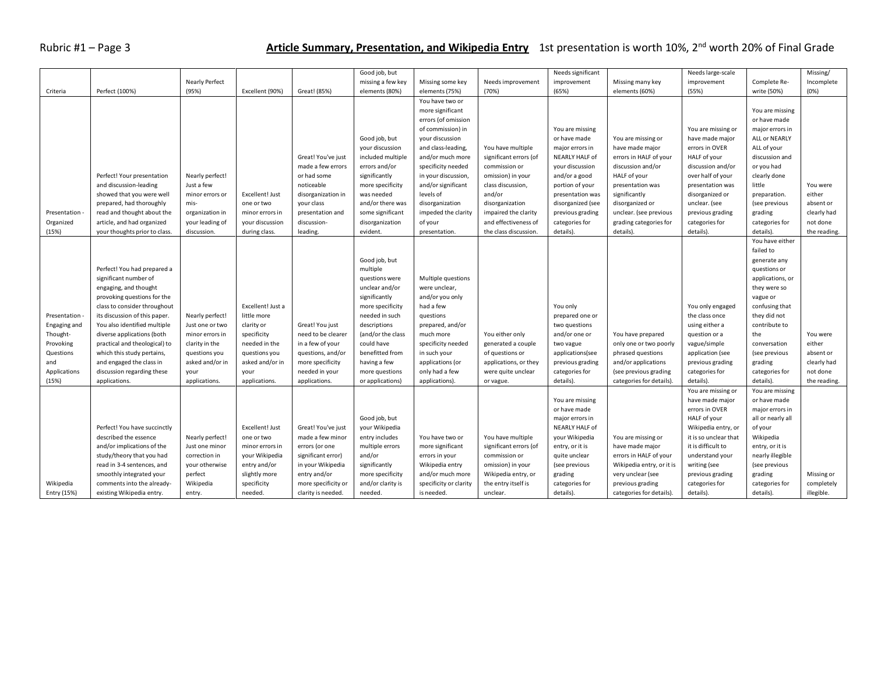## Rubric #1 – Page 3 **Article Summary, Presentation, and Wikipedia Entry** 1st presentation is worth 10%, 2nd worth 20% of Final Grade

|              |                               |                       |                   |                     | Good job, but     |                        |                        | Needs significant |                           | Needs large-scale     |                   | Missing/     |
|--------------|-------------------------------|-----------------------|-------------------|---------------------|-------------------|------------------------|------------------------|-------------------|---------------------------|-----------------------|-------------------|--------------|
|              |                               | <b>Nearly Perfect</b> |                   |                     | missing a few key | Missing some key       | Needs improvement      | improvement       | Missing many key          | improvement           | Complete Re-      | Incomplete   |
| Criteria     | Perfect (100%)                | (95%)                 | Excellent (90%)   | Great! (85%)        | elements (80%)    | elements (75%)         | (70%)                  | (65%)             | elements (60%)            | (55%)                 | write (50%)       | (0%)         |
|              |                               |                       |                   |                     |                   | You have two or        |                        |                   |                           |                       |                   |              |
|              |                               |                       |                   |                     |                   | more significant       |                        |                   |                           |                       | You are missing   |              |
|              |                               |                       |                   |                     |                   | errors (of omission    |                        |                   |                           |                       | or have made      |              |
|              |                               |                       |                   |                     |                   | of commission) in      |                        | You are missing   |                           | You are missing or    | major errors in   |              |
|              |                               |                       |                   |                     | Good job, but     | your discussion        |                        | or have made      | You are missing or        | have made major       | ALL or NEARLY     |              |
|              |                               |                       |                   |                     | your discussion   | and class-leading,     | You have multiple      | major errors in   | have made major           | errors in OVER        | ALL of your       |              |
|              |                               |                       |                   |                     | included multiple |                        |                        |                   |                           | HALF of your          | discussion and    |              |
|              |                               |                       |                   | Great! You've just  |                   | and/or much more       | significant errors (of | NEARLY HALF of    | errors in HALF of your    |                       |                   |              |
|              |                               |                       |                   | made a few errors   | errors and/or     | specificity needed     | commission or          | your discussion   | discussion and/or         | discussion and/or     | or you had        |              |
|              | Perfect! Your presentation    | Nearly perfect!       |                   | or had some         | significantly     | in your discussion     | omission) in your      | and/or a good     | HALF of your              | over half of your     | clearly done      |              |
|              | and discussion-leading        | Just a few            |                   | noticeable          | more specificity  | and/or significant     | class discussion,      | portion of your   | presentation was          | presentation was      | little            | You were     |
|              | showed that you were well     | minor errors or       | Excellent! Just   | disorganization in  | was needed        | levels of              | and/or                 | presentation was  | significantly             | disorganized or       | preparation.      | either       |
|              | prepared, had thoroughly      | mis-                  | one or two        | your class          | and/or there was  | disorganization        | disorganization        | disorganized (see | disorganized or           | unclear. (see         | (see previous     | absent or    |
| Presentation | read and thought about the    | organization in       | minor errors in   | presentation and    | some significant  | impeded the clarity    | impaired the clarity   | previous grading  | unclear. (see previous    | previous grading      | grading           | clearly had  |
| Organized    | article, and had organized    | your leading of       | your discussion   | discussion-         | disorganization   | of your                | and effectiveness of   | categories for    | grading categories for    | categories for        | categories for    | not done     |
| (15%)        | your thoughts prior to class  | discussion.           | during class.     | leading.            | evident.          | presentation.          | the class discussion.  | details).         | details).                 | details).             | details).         | the reading. |
|              |                               |                       |                   |                     |                   |                        |                        |                   |                           |                       | You have either   |              |
|              |                               |                       |                   |                     |                   |                        |                        |                   |                           |                       | failed to         |              |
|              |                               |                       |                   |                     | Good job, but     |                        |                        |                   |                           |                       | generate any      |              |
|              | Perfect! You had prepared a   |                       |                   |                     | multiple          |                        |                        |                   |                           |                       | questions or      |              |
|              | significant number of         |                       |                   |                     | questions were    | Multiple questions     |                        |                   |                           |                       | applications, or  |              |
|              | engaging, and thought         |                       |                   |                     | unclear and/or    | were unclear,          |                        |                   |                           |                       | they were so      |              |
|              | provoking questions for the   |                       |                   |                     | significantly     | and/or you only        |                        |                   |                           |                       | vague or          |              |
|              | class to consider throughout  |                       | Excellent! Just a |                     | more specificity  | had a few              |                        | You only          |                           | You only engaged      | confusing that    |              |
| Presentation | its discussion of this paper. | Nearly perfect!       | little more       |                     | needed in such    | questions              |                        | prepared one or   |                           | the class once        | they did not      |              |
| Engaging and | You also identified multiple  | Just one or two       | clarity or        | Great! You just     | descriptions      | prepared, and/or       |                        | two questions     |                           | using either a        | contribute to     |              |
| Thought-     | diverse applications (both    | minor errors in       | specificity       | need to be clearer  | (and/or the class | much more              | You either only        | and/or one or     | You have prepared         | question or a         | the               | You were     |
| Provoking    | practical and theological) to | clarity in the        | needed in the     | in a few of your    | could have        | specificity needed     | generated a couple     | two vague         | only one or two poorly    | vague/simple          | conversation      | either       |
| Questions    | which this study pertains,    | questions you         | questions you     | questions, and/or   | benefitted from   | in such your           | of questions or        | applications(see  | phrased questions         | application (see      | (see previous     | absent or    |
| and          | and engaged the class in      | asked and/or in       | asked and/or in   | more specificity    | having a few      | applications (or       | applications, or they  | previous grading  | and/or applications       | previous grading      | grading           | clearly had  |
|              |                               |                       |                   |                     |                   |                        |                        |                   |                           |                       |                   |              |
| Applications | discussion regarding these    | your                  | your              | needed in your      | more questions    | only had a few         | were quite unclear     | categories for    | (see previous grading     | categories for        | categories for    | not done     |
| (15%)        | applications.                 | applications.         | applications.     | applications.       | or applications)  | applications).         | or vague.              | details).         | categories for details).  | details).             | details).         | the reading. |
|              |                               |                       |                   |                     |                   |                        |                        |                   |                           | You are missing or    | You are missing   |              |
|              |                               |                       |                   |                     |                   |                        |                        | You are missing   |                           | have made major       | or have made      |              |
|              |                               |                       |                   |                     |                   |                        |                        | or have made      |                           | errors in OVER        | major errors in   |              |
|              |                               |                       |                   |                     | Good job, but     |                        |                        | major errors in   |                           | HALF of your          | all or nearly all |              |
|              | Perfect! You have succinctly  |                       | Excellent! Just   | Great! You've just  | your Wikipedia    |                        |                        | NEARLY HALF of    |                           | Wikipedia entry, or   | of your           |              |
|              | described the essence         | Nearly perfect!       | one or two        | made a few minor    | entry includes    | You have two or        | You have multiple      | your Wikipedia    | You are missing or        | it is so unclear that | Wikipedia         |              |
|              | and/or implications of the    | Just one minor        | minor errors in   | errors (or one      | multiple errors   | more significant       | significant errors (of | entry, or it is   | have made major           | it is difficult to    | entry, or it is   |              |
|              | study/theory that you had     | correction in         | your Wikipedia    | significant error)  | and/or            | errors in your         | commission or          | quite unclear     | errors in HALF of your    | understand your       | nearly illegible  |              |
|              | read in 3-4 sentences, and    | your otherwise        | entry and/or      | in your Wikipedia   | significantly     | Wikipedia entry        | omission) in your      | (see previous     | Wikipedia entry, or it is | writing (see          | (see previous     |              |
|              | smoothly integrated your      | perfect               | slightly more     | entry and/or        | more specificity  | and/or much more       | Wikipedia entry, or    | grading           | very unclear (see         | previous grading      | grading           | Missing or   |
| Wikipedia    | comments into the already-    | Wikipedia             | specificity       | more specificity or | and/or clarity is | specificity or clarity | the entry itself is    | categories for    | previous grading          | categories for        | categories for    | completely   |
| Entry (15%)  | existing Wikipedia entry.     | entry.                | needed.           | clarity is needed.  | needed.           | is needed.             | unclear.               | details).         | categories for details).  | details).             | details).         | illegible.   |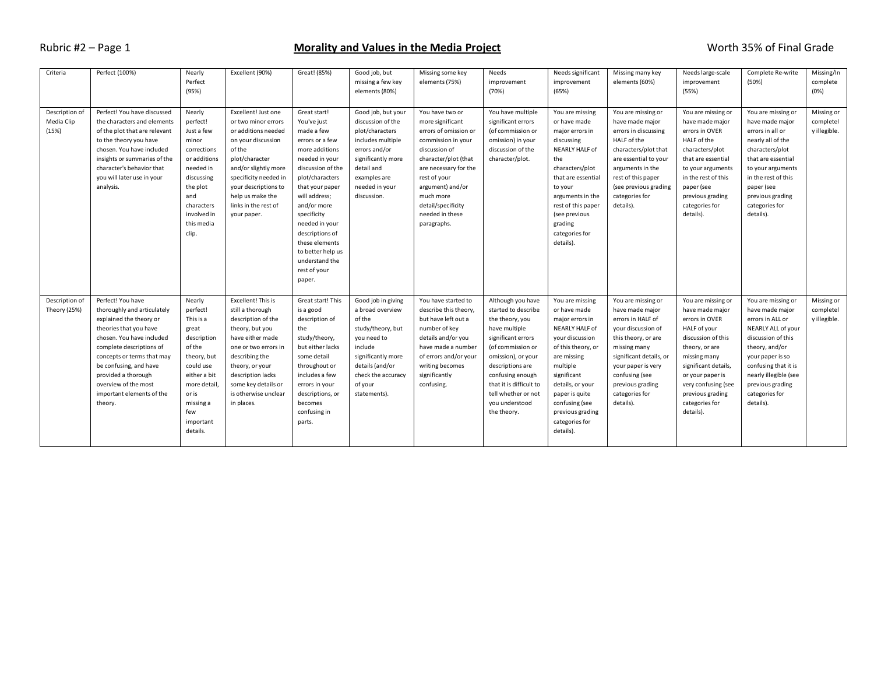#### Rubric #2 – Page 1 **Morality and Values in the Media Project** Number 2014 Morth 35% of Final Grade

| Criteria       | Perfect (100%)                | Nearly                    | Excellent (90%)       | Great! (85%)      | Good job, but      | Missing some key      | Needs                   | Needs significant                   | Missing many key                       | Needs large-scale                        | Complete Re-write                        | Missing/In   |
|----------------|-------------------------------|---------------------------|-----------------------|-------------------|--------------------|-----------------------|-------------------------|-------------------------------------|----------------------------------------|------------------------------------------|------------------------------------------|--------------|
|                |                               | Perfect                   |                       |                   | missing a few key  | elements (75%)        | improvement             | improvement                         | elements (60%)                         | improvement                              | (50%)                                    | complete     |
|                |                               | (95%)                     |                       |                   | elements (80%)     |                       | (70%)                   | (65%)                               |                                        | (55%)                                    |                                          | (0%)         |
|                |                               |                           |                       |                   |                    |                       |                         |                                     |                                        |                                          |                                          |              |
| Description of | Perfect! You have discussed   | Nearly                    | Excellent! Just one   | Great start!      | Good job, but your | You have two or       | You have multiple       | You are missing                     | You are missing or                     | You are missing or                       | You are missing or                       | Missing or   |
| Media Clip     | the characters and elements   | perfect!                  | or two minor errors   | You've just       | discussion of the  | more significant      | significant errors      | or have made                        | have made major                        | have made major                          | have made major                          | completel    |
| (15%)          | of the plot that are relevant | Just a few                | or additions needed   | made a few        | plot/characters    | errors of omission or | (of commission or       | major errors in                     | errors in discussing                   | errors in OVER                           | errors in all or                         | y illegible. |
|                | to the theory you have        | minor                     | on your discussion    | errors or a few   | includes multiple  | commission in your    | omission) in your       | discussing                          | HALF of the                            | HALF of the                              | nearly all of the                        |              |
|                | chosen. You have included     | corrections               | of the                | more additions    | errors and/or      | discussion of         | discussion of the       | NEARLY HALF of                      | characters/plot that                   | characters/plot                          | characters/plot                          |              |
|                | insights or summaries of the  | or additions              | plot/character        | needed in your    | significantly more | character/plot (that  | character/plot.         | the                                 | are essential to your                  | that are essential                       | that are essential                       |              |
|                | character's behavior that     | needed in                 | and/or slightly more  | discussion of the | detail and         | are necessary for the |                         | characters/plot                     |                                        |                                          |                                          |              |
|                | you will later use in your    | discussing                | specificity needed in | plot/characters   | examples are       | rest of your          |                         | that are essential                  | arguments in the<br>rest of this paper | to your arguments<br>in the rest of this | to your arguments<br>in the rest of this |              |
|                | analysis.                     | the plot                  | your descriptions to  | that your paper   | needed in your     | argument) and/or      |                         | to your                             | (see previous grading                  | paper (see                               | paper (see                               |              |
|                |                               | and                       | help us make the      | will address;     | discussion.        | much more             |                         |                                     | categories for                         |                                          | previous grading                         |              |
|                |                               |                           | links in the rest of  | and/or more       |                    | detail/specificity    |                         | arguments in the                    | details).                              | previous grading                         | categories for                           |              |
|                |                               | characters<br>involved in |                       | specificity       |                    | needed in these       |                         | rest of this paper<br>(see previous |                                        | categories for<br>details).              | details).                                |              |
|                |                               | this media                | your paper.           | needed in your    |                    | paragraphs.           |                         | grading                             |                                        |                                          |                                          |              |
|                |                               |                           |                       | descriptions of   |                    |                       |                         | categories for                      |                                        |                                          |                                          |              |
|                |                               | clip.                     |                       | these elements    |                    |                       |                         |                                     |                                        |                                          |                                          |              |
|                |                               |                           |                       | to better help us |                    |                       |                         | details).                           |                                        |                                          |                                          |              |
|                |                               |                           |                       | understand the    |                    |                       |                         |                                     |                                        |                                          |                                          |              |
|                |                               |                           |                       |                   |                    |                       |                         |                                     |                                        |                                          |                                          |              |
|                |                               |                           |                       | rest of your      |                    |                       |                         |                                     |                                        |                                          |                                          |              |
|                |                               |                           |                       | paper.            |                    |                       |                         |                                     |                                        |                                          |                                          |              |
|                |                               |                           |                       |                   |                    |                       |                         |                                     |                                        |                                          |                                          |              |
| Description of | Perfect! You have             | Nearly                    | Excellent! This is    | Great start! This | Good job in giving | You have started to   | Although you have       | You are missing                     | You are missing or                     | You are missing or                       | You are missing or                       | Missing or   |
| Theory (25%)   | thoroughly and articulately   | perfect!                  | still a thorough      | is a good         | a broad overview   | describe this theory, | started to describe     | or have made                        | have made major                        | have made major                          | have made major                          | completel    |
|                | explained the theory or       | This is a                 | description of the    | description of    | of the             | but have left out a   | the theory, you         | major errors in                     | errors in HALF of                      | errors in OVER                           | errors in ALL or                         | y illegible. |
|                | theories that you have        | great                     | theory, but you       | the               | study/theory, but  | number of key         | have multiple           | NEARLY HALF of                      | your discussion of                     | HALF of your                             | NEARLY ALL of your                       |              |
|                | chosen. You have included     | description               | have either made      | study/theory,     | you need to        | details and/or you    | significant errors      | your discussion                     | this theory, or are                    | discussion of this                       | discussion of this                       |              |
|                | complete descriptions of      | of the                    | one or two errors in  | but either lacks  | include            | have made a number    | (of commission or       | of this theory, or                  | missing many                           | theory, or are                           | theory, and/or                           |              |
|                | concepts or terms that may    | theory, but               | describing the        | some detail       | significantly more | of errors and/or your | omission), or your      | are missing                         | significant details, or                | missing many                             | your paper is so                         |              |
|                | be confusing, and have        | could use                 | theory, or your       | throughout or     | details (and/or    | writing becomes       | descriptions are        | multiple                            | your paper is very                     | significant details,                     | confusing that it is                     |              |
|                | provided a thorough           | either a bit              | description lacks     | includes a few    | check the accuracy | significantly         | confusing enough        | significant                         | confusing (see                         | or your paper is                         | nearly illegible (see                    |              |
|                | overview of the most          | more detail,              | some key details or   | errors in your    | of your            | confusing.            | that it is difficult to | details, or your                    | previous grading                       | very confusing (see                      | previous grading                         |              |
|                | important elements of the     | or is                     | is otherwise unclear  | descriptions, or  | statements).       |                       | tell whether or not     | paper is quite                      | categories for                         | previous grading                         | categories for                           |              |
|                | theory.                       | missing a                 | in places.            | becomes           |                    |                       | you understood          | confusing (see                      | details).                              | categories for                           | details).                                |              |
|                |                               | few                       |                       | confusing in      |                    |                       | the theory.             | previous grading                    |                                        | details).                                |                                          |              |
|                |                               | important                 |                       | parts.            |                    |                       |                         | categories for                      |                                        |                                          |                                          |              |
|                |                               | details.                  |                       |                   |                    |                       |                         | details).                           |                                        |                                          |                                          |              |
|                |                               |                           |                       |                   |                    |                       |                         |                                     |                                        |                                          |                                          |              |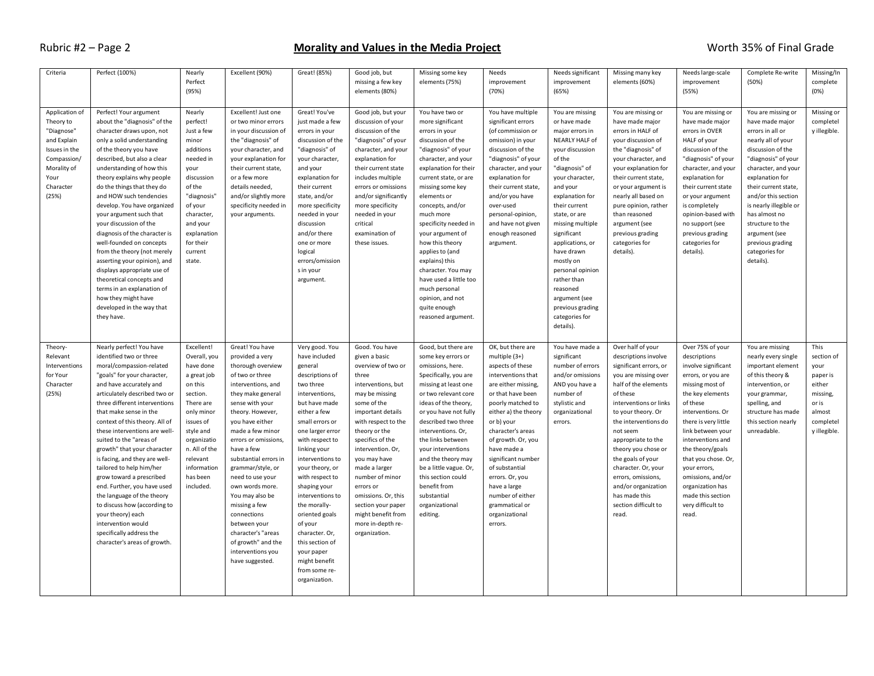#### Rubric #2 – Page 2 **Morality and Values in the Media Project** Worth 35% of Final Grade

| Criteria                                                                                                                              | Perfect (100%)                                                                                                                                                                                                                                                                                                                                                                                                                                                                                                                                                                                                                                                            | Nearly<br>Perfect<br>(95%)                                                                                                                                                                                             | Excellent (90%)                                                                                                                                                                                                                                                                                                                                                                                                                                                                       | Great! (85%)                                                                                                                                                                                                                                                                                                                                                                                                                                             | Good job, but<br>missing a few key<br>elements (80%)                                                                                                                                                                                                                                                                                                                                                  | Missing some key<br>elements (75%)                                                                                                                                                                                                                                                                                                                                                                                                                                             | Needs<br>improvement<br>(70%)                                                                                                                                                                                                                                                                                                                                                                 | Needs significant<br>improvement<br>(65%)                                                                                                                                                                                                                                                                                                                                                                    | Missing many key<br>elements (60%)                                                                                                                                                                                                                                                                                                                                                                          | Needs large-scale<br>improvement<br>(55%)                                                                                                                                                                                                                                                                                                                                      | Complete Re-write<br>(50%)                                                                                                                                                                                                                                                                                                                              | Missing/In<br>complete<br>(0%)                                                                               |
|---------------------------------------------------------------------------------------------------------------------------------------|---------------------------------------------------------------------------------------------------------------------------------------------------------------------------------------------------------------------------------------------------------------------------------------------------------------------------------------------------------------------------------------------------------------------------------------------------------------------------------------------------------------------------------------------------------------------------------------------------------------------------------------------------------------------------|------------------------------------------------------------------------------------------------------------------------------------------------------------------------------------------------------------------------|---------------------------------------------------------------------------------------------------------------------------------------------------------------------------------------------------------------------------------------------------------------------------------------------------------------------------------------------------------------------------------------------------------------------------------------------------------------------------------------|----------------------------------------------------------------------------------------------------------------------------------------------------------------------------------------------------------------------------------------------------------------------------------------------------------------------------------------------------------------------------------------------------------------------------------------------------------|-------------------------------------------------------------------------------------------------------------------------------------------------------------------------------------------------------------------------------------------------------------------------------------------------------------------------------------------------------------------------------------------------------|--------------------------------------------------------------------------------------------------------------------------------------------------------------------------------------------------------------------------------------------------------------------------------------------------------------------------------------------------------------------------------------------------------------------------------------------------------------------------------|-----------------------------------------------------------------------------------------------------------------------------------------------------------------------------------------------------------------------------------------------------------------------------------------------------------------------------------------------------------------------------------------------|--------------------------------------------------------------------------------------------------------------------------------------------------------------------------------------------------------------------------------------------------------------------------------------------------------------------------------------------------------------------------------------------------------------|-------------------------------------------------------------------------------------------------------------------------------------------------------------------------------------------------------------------------------------------------------------------------------------------------------------------------------------------------------------------------------------------------------------|--------------------------------------------------------------------------------------------------------------------------------------------------------------------------------------------------------------------------------------------------------------------------------------------------------------------------------------------------------------------------------|---------------------------------------------------------------------------------------------------------------------------------------------------------------------------------------------------------------------------------------------------------------------------------------------------------------------------------------------------------|--------------------------------------------------------------------------------------------------------------|
| Application of<br>Theory to<br>"Diagnose"<br>and Explain<br>Issues in the<br>Compassion/<br>Morality of<br>Your<br>Character<br>(25%) | Perfect! Your argument<br>about the "diagnosis" of the<br>character draws upon, not<br>only a solid understanding<br>of the theory you have<br>described, but also a clear<br>understanding of how this<br>theory explains why people<br>do the things that they do<br>and HOW such tendencies<br>develop. You have organized<br>your argument such that<br>your discussion of the<br>diagnosis of the character is<br>well-founded on concepts<br>from the theory (not merely<br>asserting your opinion), and<br>displays appropriate use of<br>theoretical concepts and<br>terms in an explanation of<br>how they might have<br>developed in the way that<br>they have. | Nearly<br>perfect!<br>Just a few<br>minor<br>additions<br>needed in<br>your<br>discussion<br>of the<br>"diagnosis"<br>of your<br>character,<br>and your<br>explanation<br>for their<br>current<br>state.               | Excellent! Just one<br>or two minor errors<br>in your discussion of<br>the "diagnosis" of<br>your character, and<br>your explanation for<br>their current state,<br>or a few more<br>details needed,<br>and/or slightly more<br>specificity needed in<br>your arguments.                                                                                                                                                                                                              | Great! You've<br>just made a few<br>errors in your<br>discussion of the<br>"diagnosis" of<br>your character,<br>and your<br>explanation for<br>their current<br>state, and/or<br>more specificity<br>needed in your<br>discussion<br>and/or there<br>one or more<br>logical<br>errors/omission<br>s in your<br>argument.                                                                                                                                 | Good job, but your<br>discussion of your<br>discussion of the<br>"diagnosis" of your<br>character, and your<br>explanation for<br>their current state<br>includes multiple<br>errors or omissions<br>and/or significantly<br>more specificity<br>needed in your<br>critical<br>examination of<br>these issues.                                                                                        | You have two or<br>more significant<br>errors in your<br>discussion of the<br>"diagnosis" of your<br>character, and your<br>explanation for their<br>current state, or are<br>missing some key<br>elements or<br>concepts, and/or<br>much more<br>specificity needed in<br>your argument of<br>how this theory<br>applies to (and<br>explains) this<br>character. You may<br>have used a little too<br>much personal<br>opinion, and not<br>quite enough<br>reasoned argument. | You have multiple<br>significant errors<br>(of commission or<br>omission) in your<br>discussion of the<br>"diagnosis" of your<br>character, and your<br>explanation for<br>their current state,<br>and/or you have<br>over-used<br>personal-opinion,<br>and have not given<br>enough reasoned<br>argument.                                                                                    | You are missing<br>or have made<br>major errors in<br>NEARLY HALF of<br>your discussion<br>of the<br>"diagnosis" of<br>your character,<br>and your<br>explanation for<br>their current<br>state, or are<br>missing multiple<br>significant<br>applications, or<br>have drawn<br>mostly on<br>personal opinion<br>rather than<br>reasoned<br>argument (see<br>previous grading<br>categories for<br>details). | You are missing or<br>have made major<br>errors in HALF of<br>your discussion of<br>the "diagnosis" of<br>your character, and<br>your explanation for<br>their current state,<br>or your argument is<br>nearly all based on<br>pure opinion, rather<br>than reasoned<br>argument (see<br>previous grading<br>categories for<br>details).                                                                    | You are missing or<br>have made major<br>errors in OVER<br>HALF of your<br>discussion of the<br>"diagnosis" of your<br>character, and your<br>explanation for<br>their current state<br>or your argument<br>is completely<br>opinion-based with<br>no support (see<br>previous grading<br>categories for<br>details).                                                          | You are missing or<br>have made major<br>errors in all or<br>nearly all of your<br>discussion of the<br>"diagnosis" of your<br>character, and your<br>explanation for<br>their current state,<br>and/or this section<br>is nearly illegible or<br>has almost no<br>structure to the<br>argument (see<br>previous grading<br>categories for<br>details). | Missing or<br>completel<br>y illegible.                                                                      |
| Theory-<br>Relevant<br>Interventions<br>for Your<br>Character<br>(25%)                                                                | Nearly perfect! You have<br>identified two or three<br>moral/compassion-related<br>"goals" for your character,<br>and have accurately and<br>articulately described two or<br>three different interventions<br>that make sense in the<br>context of this theory. All of<br>these interventions are well-<br>suited to the "areas of<br>growth" that your character<br>is facing, and they are well-<br>tailored to help him/her<br>grow toward a prescribed<br>end. Further, you have used<br>the language of the theory<br>to discuss how (according to<br>your theory) each<br>intervention would<br>specifically address the<br>character's areas of growth.           | Excellent!<br>Overall, you<br>have done<br>a great job<br>on this<br>section.<br>There are<br>only minor<br>issues of<br>style and<br>organizatio<br>n. All of the<br>relevant<br>information<br>has been<br>included. | Great! You have<br>provided a very<br>thorough overview<br>of two or three<br>interventions, and<br>they make general<br>sense with your<br>theory. However,<br>you have either<br>made a few minor<br>errors or omissions,<br>have a few<br>substantial errors in<br>grammar/style, or<br>need to use your<br>own words more.<br>You may also be<br>missing a few<br>connections<br>between your<br>character's "areas<br>of growth" and the<br>interventions you<br>have suggested. | Very good. You<br>have included<br>general<br>descriptions of<br>two three<br>interventions,<br>but have made<br>either a few<br>small errors or<br>one larger error<br>with respect to<br>linking your<br>interventions to<br>your theory, or<br>with respect to<br>shaping your<br>interventions to<br>the morally-<br>oriented goals<br>of your<br>character. Or,<br>this section of<br>your paper<br>might benefit<br>from some re-<br>organization. | Good. You have<br>given a basic<br>overview of two or<br>three<br>interventions, but<br>may be missing<br>some of the<br>important details<br>with respect to the<br>theory or the<br>specifics of the<br>intervention. Or,<br>you may have<br>made a larger<br>number of minor<br>errors or<br>omissions. Or, this<br>section your paper<br>might benefit from<br>more in-depth re-<br>organization. | Good, but there are<br>some key errors or<br>omissions, here.<br>Specifically, you are<br>missing at least one<br>or two relevant core<br>ideas of the theory,<br>or you have not fully<br>described two three<br>interventions. Or,<br>the links between<br>your interventions<br>and the theory may<br>be a little vague. Or,<br>this section could<br>benefit from<br>substantial<br>organizational<br>editing.                                                             | OK, but there are<br>multiple $(3+)$<br>aspects of these<br>interventions that<br>are either missing,<br>or that have been<br>poorly matched to<br>either a) the theory<br>or b) your<br>character's areas<br>of growth. Or, you<br>have made a<br>significant number<br>of substantial<br>errors. Or, you<br>have a large<br>number of either<br>grammatical or<br>organizational<br>errors. | You have made a<br>significant<br>number of errors<br>and/or omissions<br>AND you have a<br>number of<br>stylistic and<br>organizational<br>errors.                                                                                                                                                                                                                                                          | Over half of your<br>descriptions involve<br>significant errors, or<br>you are missing over<br>half of the elements<br>of these<br>interventions or links<br>to your theory. Or<br>the interventions do<br>not seem<br>appropriate to the<br>theory you chose or<br>the goals of your<br>character. Or, your<br>errors, omissions,<br>and/or organization<br>has made this<br>section difficult to<br>read. | Over 75% of your<br>descriptions<br>involve significant<br>errors, or you are<br>missing most of<br>the key elements<br>of these<br>interventions. Or<br>there is very little<br>link between your<br>interventions and<br>the theory/goals<br>that you chose. Or,<br>your errors,<br>omissions, and/or<br>organization has<br>made this section<br>very difficult to<br>read. | You are missing<br>nearly every single<br>important element<br>of this theory &<br>intervention, or<br>your grammar,<br>spelling, and<br>structure has made<br>this section nearly<br>unreadable.                                                                                                                                                       | This<br>section of<br>your<br>paper is<br>either<br>missing,<br>or is<br>almost<br>completel<br>y illegible. |